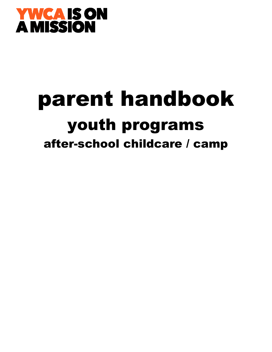

# parent handbook youth programs after-school childcare / camp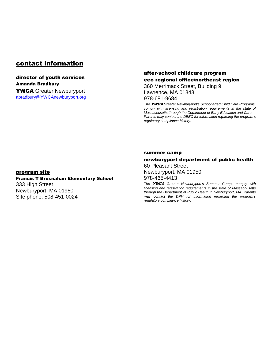### contact information

#### director of youth services Amanda Bradbury YWCA Greater Newburyport abradbury@YWCAnewburyport.org

#### after-school childcare program eec regional office/northeast region 360 Merrimack Street, Building 9

Lawrence, MA 01843 978-681-9684

The YWCA Greater Newburyport's School-aged Child Care Programs comply with licensing and registration requirements in the state of Massachusetts through the Department of Early Education and Care. Parents may contact the DEEC for information regarding the program's regulatory compliance history.

#### summer camp

#### newburyport department of public health

60 Pleasant Street Newburyport, MA 01950

978-465-4413

The **YWCA** Greater Newburyport's Summer Camps comply with licensing and registration requirements in the state of Massachusetts through the Department of Public Health in Newburyport, MA. Parents may contact the DPH for information regarding the program's regulatory compliance history.

#### program site

#### Francis T Bresnahan Elementary School 333 High Street

Newburyport, MA 01950 Site phone: 508-451-0024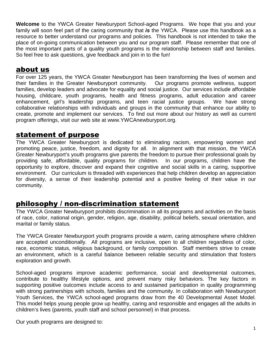**Welcome** to the YWCA Greater Newburyport School-aged Programs. We hope that you and your family will soon feel part of the caring community that **is** the YWCA. Please use this handbook as a resource to better understand our programs and policies. This handbook is not intended to take the place of on-going communication between you and our program staff. Please remember that one of the most important parts of a quality youth programs is the relationship between staff and families. So feel free to ask questions, give feedback and join in to the fun!

## about us

For over 125 years, the YWCA Greater Newburyport has been transforming the lives of women and their families in the Greater Newburyport community. Our programs promote wellness, support families, develop leaders and advocate for equality and social justice. Our services include affordable housing, childcare, youth programs, health and fitness programs, adult education and career enhancement, girl's leadership programs, and teen racial justice groups. We have strong collaborative relationships with individuals and groups in the community that enhance our ability to create, promote and implement our services. To find out more about our history as well as current program offerings, visit our web site at www.YWCAnewburyport.org.

## statement of purpose

The YWCA Greater Newburyport is dedicated to eliminating racism, empowering women and promoting peace, justice, freedom, and dignity for all. In alignment with that mission, the YWCA Greater Newburyport's youth programs give parents the freedom to pursue their professional goals by providing safe, affordable, quality programs for children. In our programs, children have the opportunity to explore, discover and expand their cognitive and social skills in a caring, supportive environment. Our curriculum is threaded with experiences that help children develop an appreciation for diversity, a sense of their leadership potential and a positive feeling of their value in our community.

# philosophy / non-discrimination statement

The YWCA Greater Newburyport prohibits discrimination in all its programs and activities on the basis of race, color, national origin, gender, religion, age, disability, political beliefs, sexual orientation, and marital or family status.

The YWCA Greater Newburyport youth programs provide a warm, caring atmosphere where children are accepted unconditionally. All programs are inclusive, open to all children regardless of color, race, economic status, religious background, or family composition. Staff members strive to create an environment, which is a careful balance between reliable security and stimulation that fosters exploration and growth.

School-aged programs improve academic performance, social and developmental outcomes, contribute to healthy lifestyle options, and prevent many risky behaviors. The key factors in supporting positive outcomes include access to and sustained participation in quality programming with strong partnerships with schools, families and the community. In collaboration with Newburyport Youth Services, the YWCA school-aged programs draw from the 40 Developmental Asset Model. This model helps young people grow up healthy, caring and responsible and engages all the adults in children's lives (parents, youth staff and school personnel) in that process.

Our youth programs are designed to: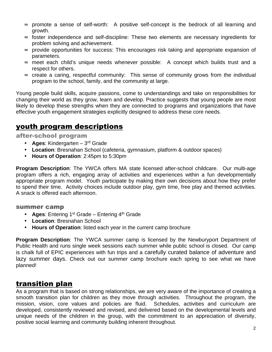- ≈ promote a sense of self-worth: A positive self-concept is the bedrock of all learning and growth.
- ≈ foster independence and self-discipline: These two elements are necessary ingredients for problem solving and achievement.
- ≈ provide opportunities for success: This encourages risk taking and appropriate expansion of parameters.
- ≈ meet each child's unique needs whenever possible: A concept which builds trust and a respect for others.
- ≈ create a caring, respectful community: This sense of community grows from the individual program to the school, family, and the community at large.

Young people build skills, acquire passions, come to understandings and take on responsibilities for changing their world as they grow, learn and develop. Practice suggests that young people are most likely to develop these strengths when they are connected to programs and organizations that have effective youth engagement strategies explicitly designed to address these core needs.

# youth program descriptions

after-school program

- **Ages**: Kindergarten 3rd Grade
- **Location**: Bresnahan School (cafeteria, gymnasium, platform & outdoor spaces)
- **Hours of Operation**: 2:45pm to 5:30pm

**Program Description**: The YWCA offers MA state licensed after-school childcare. Our multi-age program offers a rich, engaging array of activities and experiences within a fun developmentally appropriate program model. Youth participate by making their own decisions about how they prefer to spend their time. Activity choices include outdoor play, gym time, free play and themed activities. A snack is offered each afternoon.

#### summer camp

- **Ages:** Entering 1<sup>st</sup> Grade Entering 4<sup>th</sup> Grade
- **Location**: Bresnahan School
- **Hours of Operation**: listed each year in the current camp brochure

**Program Description**: The YWCA summer camp is licensed by the Newburyport Department of Public Health and runs single week sessions each summer while public school is closed. Our camp is chalk full of EPIC experiences with fun trips and a carefully curated balance of adventure and lazy summer days. Check out our summer camp brochure each spring to see what we have planned!

# transition plan

As a program that is based on strong relationships, we are very aware of the importance of creating a smooth transition plan for children as they move through activities. Throughout the program, the mission, vision, core values and policies are fluid. Schedules, activities and curriculum are developed, consistently reviewed and revised, and delivered based on the developmental levels and unique needs of the children in the group, with the commitment to an appreciation of diversity, positive social learning and community building inherent throughout.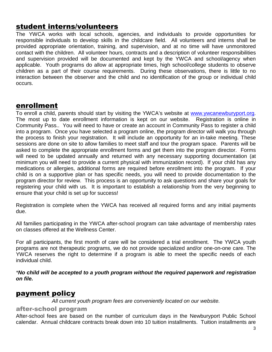## student interns/volunteers

The YWCA works with local schools, agencies, and individuals to provide opportunities for responsible individuals to develop skills in the childcare field. All volunteers and interns shall be provided appropriate orientation, training, and supervision, and at no time will have unmonitored contact with the children. All volunteer hours, contracts and a description of volunteer responsibilities and supervision provided will be documented and kept by the YWCA and school/agency when applicable. Youth programs do allow at appropriate times, high school/college students to observe children as a part of their course requirements. During these observations, there is little to no interaction between the observer and the child and no identification of the group or individual child occurs.

## enrollment

To enroll a child, parents should start by visiting the YWCA's website at www.ywcanewburyport.org. The most up to date enrollment information is kept on our website. Registration is online in Community Pass.. You will need to have or create an account in Community Pass to register a child into a program. Once you have selected a program online, the program director will walk you through the process to finish your registration. It will include an opportunity for an in-take meeting. These sessions are done on site to allow families to meet staff and tour the program space. Parents will be asked to complete the appropriate enrollment forms and get them into the program director. Forms will need to be updated annually and returned with any necessary supporting documentation (at minimum you will need to provide a current physical with immunization record). If your child has any medications or allergies, additional forms are required before enrollment into the program. If your child is on a supportive plan or has specific needs, you will need to provide documentation to the program director for review. This process is an opportunity to ask questions and share your goals for registering your child with us. It is important to establish a relationship from the very beginning to ensure that your child is set up for success!

Registration is complete when the YWCA has received all required forms and any initial payments due.

All families participating in the YWCA after-school program can take advantage of membership rates on classes offered at the Wellness Center.

For all participants, the first month of care will be considered a trial enrollment. The YWCA youth programs are not therapeutic programs, we do not provide specialized and/or one-on-one care. The YWCA reserves the right to determine if a program is able to meet the specific needs of each individual child.

\***No child will be accepted to a youth program without the required paperwork and registration on file.** 

## payment policy

All current youth program fees are conveniently located on our website.

#### after-school program

After-school fees are based on the number of curriculum days in the Newburyport Public School calendar. Annual childcare contracts break down into 10 tuition installments. Tuition installments are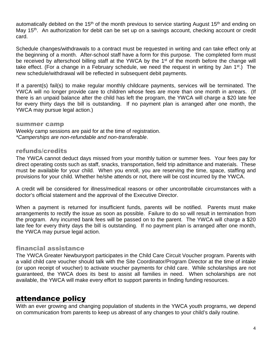automatically debited on the 15<sup>th</sup> of the month previous to service starting August 15<sup>th</sup> and ending on May 15<sup>th</sup>. An authorization for debit can be set up on a savings account, checking account or credit card.

Schedule changes/withdrawals to a contract must be requested in writing and can take effect only at the beginning of a month. After-school staff have a form for this purpose. The completed form must be received by afterschool billing staff at the YWCA by the 1<sup>st</sup> of the month before the change will take effect. (For a change in a February schedule, we need the request in writing by Jan  $1<sup>st</sup>$ .) The new schedule/withdrawal will be reflected in subsequent debit payments.

If a parent(s) fail(s) to make regular monthly childcare payments, services will be terminated. The YWCA will no longer provide care to children whose fees are more than one month in arrears. (If there is an unpaid balance after the child has left the program, the YWCA will charge a \$20 late fee for every thirty days the bill is outstanding. If no payment plan is arranged after one month, the YWCA may pursue legal action.)

#### summer camp

Weekly camp sessions are paid for at the time of registration. \*Camperships are non-refundable and non-transferable.

#### refunds/credits

The YWCA cannot deduct days missed from your monthly tuition or summer fees. Your fees pay for direct operating costs such as staff, snacks, transportation, field trip admittance and materials. These must be available for your child. When you enroll, you are reserving the time, space, staffing and provisions for your child. Whether he/she attends or not, there will be cost incurred by the YWCA.

A credit will be considered for illness/medical reasons or other uncontrollable circumstances with a doctor's official statement and the approval of the Executive Director.

When a payment is returned for insufficient funds, parents will be notified. Parents must make arrangements to rectify the issue as soon as possible. Failure to do so will result in termination from the program. Any incurred bank fees will be passed on to the parent. The YWCA will charge a \$20 late fee for every thirty days the bill is outstanding. If no payment plan is arranged after one month, the YWCA may pursue legal action.

#### financial assistance

The YWCA Greater Newburyport participates in the Child Care Circuit Voucher program. Parents with a valid child care voucher should talk with the Site Coordinator/Program Director at the time of intake (or upon receipt of voucher) to activate voucher payments for child care. While scholarships are not guaranteed, the YWCA does its best to assist all families in need. When scholarships are not available, the YWCA will make every effort to support parents in finding funding resources.

## attendance policy

With an ever growing and changing population of students in the YWCA youth programs, we depend on communication from parents to keep us abreast of any changes to your child's daily routine.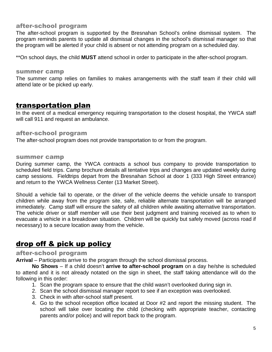#### after-school program

The after-school program is supported by the Bresnahan School's online dismissal system. The program reminds parents to update all dismissal changes in the school's dismissal manager so that the program will be alerted if your child is absent or not attending program on a scheduled day.

\*\*On school days, the child **MUST** attend school in order to participate in the after-school program.

#### summer camp

The summer camp relies on families to makes arrangements with the staff team if their child will attend late or be picked up early.

## transportation plan

In the event of a medical emergency requiring transportation to the closest hospital, the YWCA staff will call 911 and request an ambulance.

#### after-school program

The after-school program does not provide transportation to or from the program.

#### summer camp

During summer camp, the YWCA contracts a school bus company to provide transportation to scheduled field trips. Camp brochure details all tentative trips and changes are updated weekly during camp sessions. Fieldtrips depart from the Bresnahan School at door 1 (333 High Street entrance) and return to the YWCA Wellness Center (13 Market Street).

Should a vehicle fail to operate, or the driver of the vehicle deems the vehicle unsafe to transport children while away from the program site, safe, reliable alternate transportation will be arranged immediately. Camp staff will ensure the safety of all children while awaiting alternative transportation. The vehicle driver or staff member will use their best judgment and training received as to when to evacuate a vehicle in a breakdown situation. Children will be quickly but safely moved (across road if necessary) to a secure location away from the vehicle.

# drop off & pick up policy

#### after-school program

**Arrival** – Participants arrive to the program through the school dismissal process.

**No Shows** – If a child doesn't **arrive to after-school program** on a day he/she is scheduled to attend and it is not already notated on the sign in sheet, the staff taking attendance will do the following in this order:

- 1. Scan the program space to ensure that the child wasn't overlooked during sign in.
- 2. Scan the school dismissal manager report to see if an exception was overlooked.
- 3. Check in with after-school staff present.
- 4. Go to the school reception office located at Door #2 and report the missing student. The school will take over locating the child (checking with appropriate teacher, contacting parents and/or police) and will report back to the program.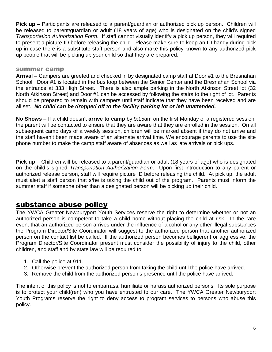**Pick up** – Participants are released to a parent/guardian or authorized pick up person. Children will be released to parent/guardian or adult (18 years of age) who is designated on the child's signed Transportation Authorization Form. If staff cannot visually identify a pick up person, they will required to present a picture ID before releasing the child. Please make sure to keep an ID handy during pick up in case there is a substitute staff person and also make this policy known to any authorized pick up people that will be picking up your child so that they are prepared.

#### summer camp

**Arrival** – Campers are greeted and checked in by designated camp staff at Door #1 to the Bresnahan School. Door #1 is located in the bus loop between the Senior Center and the Bresnahan School via the entrance at 333 High Street. There is also ample parking in the North Atkinson Street lot (32 North Atkinson Street) and Door #1 can be accessed by following the stairs to the right of lot. Parents should be prepared to remain with campers until staff indicate that they have been received and are all set. **No child can be dropped off to the facility parking lot or left unattended.**

**No Shows** – If a child doesn't **arrive to camp** by 9:15am on the first Monday of a registered session, the parent will be contacted to ensure that they are aware that they are enrolled in the session. On all subsequent camp days of a weekly session, children will be marked absent if they do not arrive and the staff haven't been made aware of an alternate arrival time. We encourage parents to use the site phone number to make the camp staff aware of absences as well as late arrivals or pick ups.

**Pick up** – Children will be released to a parent/guardian or adult (18 years of age) who is designated on the child's signed Transportation Authorization Form. Upon first introduction to any parent or authorized release person, staff will require picture ID before releasing the child. At pick up, the adult must alert a staff person that s/he is taking the child out of the program. Parents must inform the summer staff if someone other than a designated person will be picking up their child.

## substance abuse policy

The YWCA Greater Newburyport Youth Services reserve the right to determine whether or not an authorized person is competent to take a child home without placing the child at risk. In the rare event that an authorized person arrives under the influence of alcohol or any other illegal substances the Program Director/Site Coordinator will suggest to the authorized person that another authorized person on the contact list be called. If the authorized person becomes belligerent or aggressive, the Program Director/Site Coordinator present must consider the possibility of injury to the child, other children, and staff and by state law will be required to:

- 1. Call the police at 911.
- 2. Otherwise prevent the authorized person from taking the child until the police have arrived.
- 3. Remove the child from the authorized person's presence until the police have arrived.

The intent of this policy is not to embarrass, humiliate or harass authorized persons. Its sole purpose is to protect your child(ren) who you have entrusted to our care. The YWCA Greater Newburyport Youth Programs reserve the right to deny access to program services to persons who abuse this policy.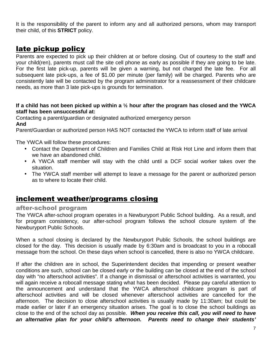It is the responsibility of the parent to inform any and all authorized persons, whom may transport their child, of this **STRICT** policy.

# late pickup policy

Parents are expected to pick up their children at or before closing. Out of courtesy to the staff and your child(ren), parents must call the site cell phone as early as possible if they are going to be late. For the first late pick-up, parents will be given a warning, but not charged the late fee. For all subsequent late pick-ups, a fee of \$1.00 per minute (per family) will be charged. Parents who are consistently late will be contacted by the program administrator for a reassessment of their childcare needs, as more than 3 late pick-ups is grounds for termination.

#### **If a child has not been picked up within a ½ hour after the program has closed and the YWCA staff has been unsuccessful at:**

Contacting a parent/guardian or designated authorized emergency person **And** 

Parent/Guardian or authorized person HAS NOT contacted the YWCA to inform staff of late arrival

The YWCA will follow these procedures:

- Contact the Department of Children and Families Child at Risk Hot Line and inform them that we have an abandoned child.
- A YWCA staff member will stay with the child until a DCF social worker takes over the situation.
- The YWCA staff member will attempt to leave a message for the parent or authorized person as to where to locate their child.

# inclement weather/programs closing

#### after-school program

The YWCA after-school program operates in a Newburyport Public School building. As a result, and for program consistency, our after-school program follows the school closure system of the Newburyport Public Schools.

When a school closing is declared by the Newburyport Public Schools, the school buildings are closed for the day. This decision is usually made by 6:30am and is broadcast to you in a robocall message from the school. On these days when school is cancelled, there is also no YWCA childcare.

If after the children are in school, the Superintendent decides that impending or present weather conditions are such, school can be closed early or the building can be closed at the end of the school day with "no afterschool activities". If a change in dismissal or afterschool activities is warranted, you will again receive a robocall message stating what has been decided. Please pay careful attention to the announcement and understand that the YWCA afterschool childcare program is part of afterschool activities and will be closed whenever afterschool activities are cancelled for the afternoon. The decision to close afterschool activities is usually made by 11:30am; but could be made earlier or later if an emergency situation arises. The goal is to close the school buildings as close to the end of the school day as possible. **When you receive this call, you will need to have an alternative plan for your child's afternoon. Parents need to change their students'**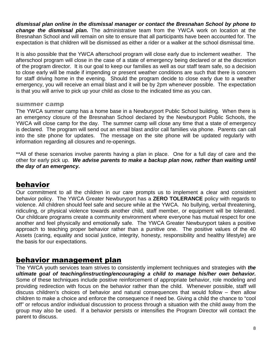**dismissal plan online in the dismissal manager or contact the Bresnahan School by phone to change the dismissal plan.** The administrative team from the YWCA work on location at the Bresnahan School and will remain on site to ensure that all participants have been accounted for. The expectation is that children will be dismissed as either a rider or a walker at the school dismissal time.

It is also possible that the YWCA afterschool program will close early due to inclement weather. The afterschool program will close in the case of a state of emergency being declared or at the discretion of the program director. It is our goal to keep our families as well as our staff team safe, so a decision to close early will be made if impending or present weather conditions are such that there is concern for staff driving home in the evening. Should the program decide to close early due to a weather emergency, you will receive an email blast and it will be by 2pm whenever possible. The expectation is that you will arrive to pick up your child as close to the indicated time as you can.

#### summer camp

The YWCA summer camp has a home base in a Newburyport Public School building. When there is an emergency closure of the Bresnahan School declared by the Newburyport Public Schools, the YWCA will close camp for the day. The summer camp will close any time that a state of emergency is declared. The program will send out an email blast and/or call families via phone. Parents can call into the site phone for updates. The message on the site phone will be updated regularly with information regarding all closures and re-openings.

\*\*All of these scenarios involve parents having a plan in place. One for a full day of care and the other for early pick up. **We advise parents to make a backup plan now, rather than waiting until the day of an emergency.** 

# behavior

Our commitment to all the children in our care prompts us to implement a clear and consistent behavior policy. The YWCA Greater Newburyport has a **ZERO TOLERANCE** policy with regards to violence. All children should feel safe and secure while at the YWCA. No bullying, verbal threatening, ridiculing, or physical violence towards another child, staff member, or equipment will be tolerated. Our childcare programs create a community environment where everyone has mutual respect for one another and feel physically and emotionally safe. The YWCA Greater Newburyport takes a positive approach to teaching proper behavior rather than a punitive one. The positive values of the 40 Assets (caring, equality and social justice, integrity, honesty, responsibility and healthy lifestyle) are the basis for our expectations.

## behavior management plan

The YWCA youth services team strives to consistently implement techniques and strategies with **the ultimate goal of teaching/instructing/encouraging a child to manage his/her own behavior.** Some of these techniques include positive reinforcement of appropriate behavior, role modeling and providing redirection with focus on the behavior rather than the child. Whenever possible, staff will discuss children's choices of behavior and natural consequences that would follow – then allow children to make a choice and enforce the consequence if need be. Giving a child the chance to "cool off" or refocus and/or individual discussion to process through a situation with the child away from the group may also be used. If a behavior persists or intensifies the Program Director will contact the parent to discuss.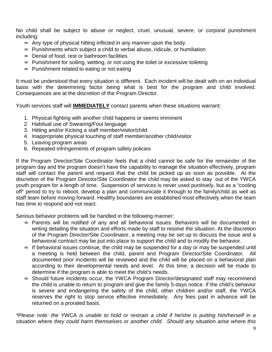No child shall be subject to abuse or neglect, cruel, unusual, severe, or corporal punishment including:

- ≈ Any type of physical hitting inflicted in any manner upon the body
- ≈ Punishments which subject a child to verbal abuse, ridicule, or humiliation
- ≈ Denial of food, rest or bathroom facilities
- ≈ Punishment for soiling, wetting, or not using the toilet or excessive toileting
- ≈ Punishment related to eating or not eating

It must be understood that every situation is different. Each incident will be dealt with on an individual basis with the determining factor being what is best for the program and child involved. Consequences are at the discretion of the Program Director.

Youth services staff will **IMMEDIATELY** contact parents when these situations warrant:

- 1. Physical fighting with another child happens or seems imminent
- 2. Habitual use of Swearing/Foul language
- 3. Hitting and/or Kicking a staff member/visitor/child
- 4. Inappropriate physical touching of staff member/another child/visitor
- 5. Leaving program areas
- 6. Repeated infringements of program safety policies

If the Program Director/Site Coordinator feels that a child cannot be safe for the remainder of the program day and the program doesn't have the capability to manage the situation effectively, program staff will contact the parent and request that the child be picked up as soon as possible. At the discretion of the Program Director/Site Coordinator the child may be asked to stay out of the YWCA youth program for a length of time. Suspension of services is never used punitively, but as a "cooling off" period to try to reboot, develop a plan and communicate it through to the family/child as well as staff team before moving forward. Healthy boundaries are established most effectively when the team has time to respond and not react.

Serious behavior problems will be handled in the following manner:

- ≈ Parents will be notified of any and all behavioral issues. Behaviors will be documented in writing detailing the situation and efforts made by staff to resolve the situation. At the discretion of the Program Director/Site Coordinator, a meeting may be set up to discuss the issue and a behavioral contract may be put into place to support the child and to modify the behavior.
- ≈ If behavioral issues continue, the child may be suspended for a day or may be suspended until a meeting is held between the child, parent and Program Director/Site Coordinator. All documented prior incidents will be reviewed and the child will be placed on a behavioral plan according to their developmental needs and level. At this time, a decision will be made to determine if the program is able to meet the child's needs.
- ≈ Should future incidents occur, the YWCA Program Director/designated staff may recommend the child is unable to return to program and give the family 5-days notice. If the child's behavior is severe and endangering the safety of the child, other children and/or staff, the YWCA reserves the right to stop service effective immediately. Any fees paid in advance will be returned on a prorated basis.

\*Please note: the YWCA is unable to hold or restrain a child if he/she is putting him/herself in a situation where they could harm themselves or another child. Should any situation arise where this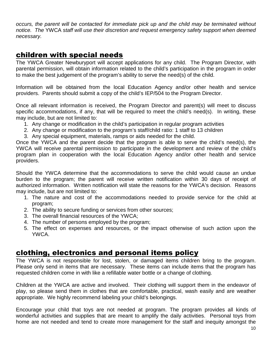occurs, the parent will be contacted for immediate pick up and the child may be terminated without notice. The YWCA staff will use their discretion and request emergency safety support when deemed necessary.

# children with special needs

The YWCA Greater Newburyport will accept applications for any child. The Program Director, with parental permission, will obtain information related to the child's participation in the program in order to make the best judgement of the program's ability to serve the need(s) of the child.

Information will be obtained from the local Education Agency and/or other health and service providers. Parents should submit a copy of the child's IEP/504 to the Program Director.

Once all relevant information is received, the Program Director and parent(s) will meet to discuss specific accommodations, if any, that will be required to meet the child's need(s). In writing, these may include, but are not limited to:

- 1. Any change or modification in the child's participation in regular program activities
- 2. Any change or modification to the program's staff/child ratio: 1 staff to 13 children
- 3. Any special equipment, materials, ramps or aids needed for the child.

Once the YWCA and the parent decide that the program is able to serve the child's need(s), the YWCA will receive parental permission to participate in the development and review of the child's program plan in cooperation with the local Education Agency and/or other health and service providers.

Should the YWCA determine that the accommodations to serve the child would cause an undue burden to the program; the parent will receive written notification within 30 days of receipt of authorized information. Written notification will state the reasons for the YWCA's decision. Reasons may include, but are not limited to:

- 1. The nature and cost of the accommodations needed to provide service for the child at program;
- 2. The ability to secure funding or services from other sources;
- 3. The overall financial resources of the YWCA;
- 4. The number of persons employed by the program;
- 5. The effect on expenses and resources, or the impact otherwise of such action upon the YWCA.

## clothing, electronics and personal items policy

The YWCA is not responsible for lost, stolen, or damaged items children bring to the program. Please only send in items that are necessary. These items can include items that the program has requested children come in with like a refillable water bottle or a change of clothing.

Children at the YWCA are active and involved. Their clothing will support them in the endeavor of play, so please send them in clothes that are comfortable, practical, wash easily and are weather appropriate. We highly recommend labeling your child's belongings.

Encourage your child that toys are not needed at program. The program provides all kinds of wonderful activities and supplies that are meant to amplify the daily activities. Personal toys from home are not needed and tend to create more management for the staff and inequity amongst the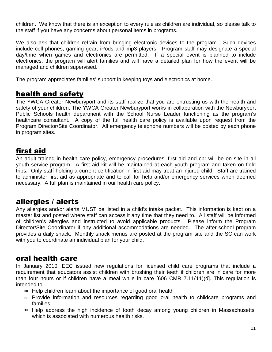children. We know that there is an exception to every rule as children are individual, so please talk to the staff if you have any concerns about personal items in programs.

We also ask that children refrain from bringing electronic devices to the program. Such devices include cell phones, gaming gear, iPods and mp3 players. Program staff may designate a special day/time when games and electronics are permitted. If a special event is planned to include electronics, the program will alert families and will have a detailed plan for how the event will be managed and children supervised.

The program appreciates families' support in keeping toys and electronics at home.

# health and safety

The YWCA Greater Newburyport and its staff realize that you are entrusting us with the health and safety of your children. The YWCA Greater Newburyport works in collaboration with the Newburyport Public Schools health department with the School Nurse Leader functioning as the program's healthcare consultant. A copy of the full health care policy is available upon request from the Program Director/Site Coordinator. All emergency telephone numbers will be posted by each phone in program sites.

# first aid

An adult trained in health care policy, emergency procedures, first aid and cpr will be on site in all youth service program. A first aid kit will be maintained at each youth program and taken on field trips. Only staff holding a current certification in first aid may treat an injured child. Staff are trained to administer first aid as appropriate and to call for help and/or emergency services when deemed necessary. A full plan is maintained in our health care policy.

# allergies / alerts

Any allergies and/or alerts MUST be listed in a child's intake packet. This information is kept on a master list and posted where staff can access it any time that they need to. All staff will be informed of children's allergies and instructed to avoid applicable products. Please inform the Program Director/Site Coordinator if any additional accommodations are needed. The after-school program provides a daily snack. Monthly snack menus are posted at the program site and the SC can work with you to coordinate an individual plan for your child.

# oral health care

In January 2010, EEC issued new regulations for licensed child care programs that include a requirement that educators assist children with brushing their teeth if children are in care for more than four hours or if children have a meal while in care [606 CMR 7.11(11)(d]. This regulation is intended to:

- ≈ Help children learn about the importance of good oral health
- ≈ Provide information and resources regarding good oral health to childcare programs and families
- ≈ Help address the high incidence of tooth decay among young children in Massachusetts, which is associated with numerous health risks.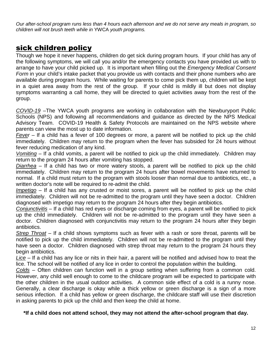Our after-school program runs less than 4 hours each afternoon and we do not serve any meals in program, so children will not brush teeth while in YWCA youth programs.

# sick children policy

Though we hope it never happens, children do get sick during program hours. If your child has any of the following symptoms, we will call you and/or the emergency contacts you have provided us with to arrange to have your child picked up. It is important when filling out the Emergency Medical Consent Form in your child's intake packet that you provide us with contacts and their phone numbers who are available during program hours. While waiting for parents to come pick them up, children will be kept in a quiet area away from the rest of the group. If your child is mildly ill but does not display symptoms warranting a call home, they will be directed to quiet activities away from the rest of the group.

COVID-19 –The YWCA youth programs are working in collaboration with the Newburyport Public Schools (NPS) and following all recommendations and guidance as directed by the NPS Medical Advisory Team. COVID-19 Health & Safety Protocols are maintained on the NPS website where parents can view the most up to date information.

Fever – If a child has a fever of 100 degrees or more, a parent will be notified to pick up the child immediately. Children may return to the program when the fever has subsided for 24 hours without fever reducing medication of any kind.

Vomiting – If a child vomits, a parent will be notified to pick up the child immediately. Children may return to the program 24 hours after vomiting has stopped.

Diarrhea – If a child has two or more watery stools, a parent will be notified to pick up the child immediately. Children may return to the program 24 hours after bowel movements have returned to normal. If a child must return to the program with stools looser than normal due to antibiotics, etc., a written doctor's note will be required to re-admit the child.

Impetigo – If a child has any crusted or moist sores, a parent will be notified to pick up the child immediately. Children will not be re-admitted to the program until they have seen a doctor. Children diagnosed with impetigo may return to the program 24 hours after they begin antibiotics.

Conjunctivitis – If a child has red eyes or discharge coming from eyes, a parent will be notified to pick up the child immediately. Children will not be re-admitted to the program until they have seen a doctor. Children diagnosed with conjunctivitis may return to the program 24 hours after they begin antibiotics.

Strep Throat – If a child shows symptoms such as fever with a rash or sore throat, parents will be notified to pick up the child immediately. Children will not be re-admitted to the program until they have seen a doctor. Children diagnosed with strep throat may return to the program 24 hours they begin antibiotics.

Lice – If a child has any lice or nits in their hair, a parent will be notified and advised how to treat the lice. The school will be notified of any lice in order to control the population within the building.

Colds – Often children can function well in a group setting when suffering from a common cold. However, any child well enough to come to the childcare program will be expected to participate with the other children in the usual outdoor activities. A common side effect of a cold is a runny nose. Generally, a clear discharge is okay while a thick yellow or green discharge is a sign of a more serious infection. If a child has yellow or green discharge, the childcare staff will use their discretion in asking parents to pick up the child and then keep the child at home.

#### **\*If a child does not attend school, they may not attend the after-school program that day.**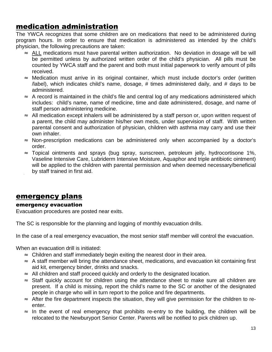# medication administration

The YWCA recognizes that some children are on medications that need to be administered during program hours. In order to ensure that medication is administered as intended by the child's physician, the following precautions are taken:

- ≈ ALL medications must have parental written authorization. No deviation in dosage will be will be permitted unless by authorized written order of the child's physician. All pills must be counted by YWCA staff and the parent and both must initial paperwork to verify amount of pills received.
- ≈ Medication must arrive in its original container, which must include doctor's order (written /label), which indicates child's name, dosage, # times administered daily, and # days to be administered.
- ≈ A record is maintained in the child's file and central log of any medications administered which includes: child's name, name of medicine, time and date administered, dosage, and name of staff person administering medicine.
- ≈ All medication except inhalers will be administered by a staff person or, upon written request of a parent, the child may administer his/her own meds, under supervision of staff. With written parental consent and authorization of physician, children with asthma may carry and use their own inhaler.
- ≈ Non-prescription medications can be administered only when accompanied by a doctor's order.
- ≈ Topical ointments and sprays (bug spray, sunscreen, petroleum jelly, hydrocortisone 1%, Vaseline Intensive Care, Lubriderm Intensive Moisture, Aquaphor and triple antibiotic ointment) will be applied to the children with parental permission and when deemed necessary/beneficial by staff trained in first aid.

## emergency plans

#### emergency evacuation

Evacuation procedures are posted near exits.

The SC is responsible for the planning and logging of monthly evacuation drills.

In the case of a real emergency evacuation, the most senior staff member will control the evacuation.

When an evacuation drill is initiated:

- ≈ Children and staff immediately begin exiting the nearest door in their area.
- ≈ A staff member will bring the attendance sheet, medications, and evacuation kit containing first aid kit, emergency binder, drinks and snacks.
- ≈ All children and staff proceed quickly and orderly to the designated location.
- ≈ Staff quickly account for children using the attendance sheet to make sure all children are present. If a child is missing, report the child's name to the SC or another of the designated people in charge who will in turn report to the police and fire departments.
- ≈ After the fire department inspects the situation, they will give permission for the children to reenter.
- ≈ In the event of real emergency that prohibits re-entry to the building, the children will be relocated to the Newburyport Senior Center. Parents will be notified to pick children up.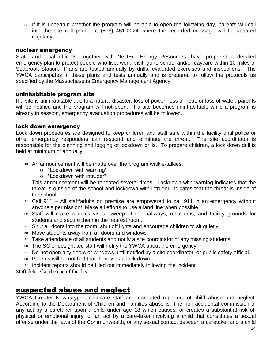$\approx$  If it is uncertain whether the program will be able to open the following day, parents will call into the site cell phone at (508) 451-0024 where the recorded message will be updated regularly.

#### nuclear emergency

State and local officials, together with NextEra Energy Resources, have prepared a detailed emergency plan to protect people who live, work, visit, go to school and/or daycare within 10 miles of Seabrook Station. Plans are tested annually by drills, evaluated exercises and inspections. The YWCA participates in these plans and tests annually and is prepared to follow the protocols as specified by the Massachusetts Emergency Management Agency.

#### uninhabitable program site

If a site is uninhabitable due to a natural disaster, loss of power, loss of heat, or loss of water; parents will be notified and the program will not open. If a site becomes uninhabitable while a program is already in session, emergency evacuation procedures will be followed.

#### lock down emergency

Lock down procedures are designed to keep children and staff safe within the facility until police or other emergency responders can respond and eliminate the threat. The site coordinator is responsible for the planning and logging of lockdown drills. To prepare children, a lock down drill is held at minimum of annually.

- ≈ An announcement will be made over the program walkie-talkies:
	- o "Lockdown with warning"
	- o "Lockdown with intruder"

This announcement will be repeated several times. Lockdown with warning indicates that the threat is outside of the school and lockdown with intruder indicates that the threat is inside of the school.

- ≈ Call 911 All staff/adults on premise are empowered to call 911 in an emergency without anyone's permission! Make all efforts to use a land line when possible.
- ≈ Staff will make a quick visual sweep of the hallways, restrooms, and facility grounds for students and secure them in the nearest room.
- $\approx$  Shut all doors into the room, shut off lights and encourage children to sit quietly.
- ≈ Move students away from all doors and windows.
- ≈ Take attendance of all students and notify a site coordinator of any missing students.
- $\approx$  The SC or designated staff will notify the YWCA about the emergency.
- ≈ Do not open any doors or windows until notified by a site coordinator, or public safety official.
- ≈ Parents will be notified that there was a lock down.
- $\approx$  Incident reports should be filled out immediately following the incident.

Staff debrief at the end of the day.

## suspected abuse and neglect

YWCA Greater Newburyport childcare staff are mandated reporters of child abuse and neglect. According to the Department of Children and Families abuse is: The non-accidental commission of any act by a caretaker upon a child under age 18 which causes, or creates a substantial risk of, physical or emotional injury; or an act by a care-taker involving a child that constitutes a sexual offense under the laws of the Commonwealth; or any sexual contact between a caretaker and a child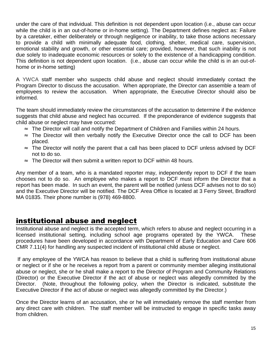under the care of that individual. This definition is not dependent upon location (i.e., abuse can occur while the child is in an out-of-home or in-home setting). The Department defines neglect as: Failure by a caretaker, either deliberately or through negligence or inability, to take those actions necessary to provide a child with minimally adequate food, clothing, shelter, medical care, supervision, emotional stability and growth, or other essential care; provided, however, that such inability is not due solely to inadequate economic resources or solely to the existence of a handicapping condition. This definition is not dependent upon location. (i.e., abuse can occur while the child is in an out-ofhome or in-home setting)

A YWCA staff member who suspects child abuse and neglect should immediately contact the Program Director to discuss the accusation. When appropriate, the Director can assemble a team of employees to review the accusation. When appropriate, the Executive Director should also be informed.

The team should immediately review the circumstances of the accusation to determine if the evidence suggests that child abuse and neglect has occurred. If the preponderance of evidence suggests that child abuse or neglect may have occurred:

- ≈ The Director will call and notify the Department of Children and Families within 24 hours.
- ≈ The Director will then verbally notify the Executive Director once the call to DCF has been placed.
- ≈ The Director will notify the parent that a call has been placed to DCF unless advised by DCF not to do so.
- $\approx$  The Director will then submit a written report to DCF within 48 hours.

Any member of a team, who is a mandated reporter may, independently report to DCF if the team chooses not to do so. An employee who makes a report to DCF must inform the Director that a report has been made. In such an event, the parent will be notified (unless DCF advises not to do so) and the Executive Director will be notified. The DCF Area Office is located at 3 Ferry Street, Bradford MA 01835. Their phone number is (978) 469-8800.

## institutional abuse and neglect

Institutional abuse and neglect is the accepted term, which refers to abuse and neglect occurring in a licensed institutional setting, including school age programs operated by the YWCA. These procedures have been developed in accordance with Department of Early Education and Care 606 CMR 7.11(4) for handling any suspected incident of institutional child abuse or neglect.

 If any employee of the YWCA has reason to believe that a child is suffering from institutional abuse or neglect or if she or he receives a report from a parent or community member alleging institutional abuse or neglect, she or he shall make a report to the Director of Program and Community Relations (Director) or the Executive Director if the act of abuse or neglect was allegedly committed by the Director. (Note, throughout the following policy, when the Director is indicated, substitute the Executive Director if the act of abuse or neglect was allegedly committed by the Director.)

Once the Director learns of an accusation, she or he will immediately remove the staff member from any direct care with children. The staff member will be instructed to engage in specific tasks away from children.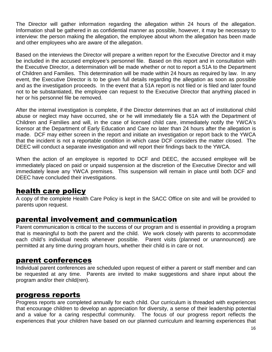The Director will gather information regarding the allegation within 24 hours of the allegation. Information shall be gathered in as confidential manner as possible, however, it may be necessary to interview: the person making the allegation, the employee about whom the allegation has been made and other employees who are aware of the allegation.

Based on the interviews the Director will prepare a written report for the Executive Director and it may be included in the accused employee's personnel file. Based on this report and in consultation with the Executive Director, a determination will be made whether or not to report a 51A to the Department of Children and Families. This determination will be made within 24 hours as required by law. In any event, the Executive Director is to be given full details regarding the allegation as soon as possible and as the investigation proceeds. In the event that a 51A report is not filed or is filed and later found not to be substantiated, the employee can request to the Executive Director that anything placed in her or his personnel file be removed.

After the internal investigation is complete, if the Director determines that an act of institutional child abuse or neglect may have occurred, she or he will immediately file a 51A with the Department of Children and Families and will, in the case of licensed child care, immediately notify the YWCA's licensor at the Department of Early Education and Care no later than 24 hours after the allegation is made. DCF may either screen in the report and initiate an investigation or report back to the YWCA that the incident is not a reportable condition in which case DCF considers the matter closed. The DEEC will conduct a separate investigation and will report their findings back to the YWCA.

When the action of an employee is reported to DCF and DEEC, the accused employee will be immediately placed on paid or unpaid suspension at the discretion of the Executive Director and will immediately leave any YWCA premises. This suspension will remain in place until both DCF and DEEC have concluded their investigations.

# health care policy

A copy of the complete Health Care Policy is kept in the SACC Office on site and will be provided to parents upon request.

# parental involvement and communication

Parent communication is critical to the success of our program and is essential in providing a program that is meaningful to both the parent and the child. We work closely with parents to accommodate each child's individual needs whenever possible. Parent visits (planned or unannounced) are permitted at any time during program hours, whether their child is in care or not.

## parent conferences

Individual parent conferences are scheduled upon request of either a parent or staff member and can be requested at any time. Parents are invited to make suggestions and share input about the program and/or their child(ren).

## progress reports

Progress reports are completed annually for each child. Our curriculum is threaded with experiences that encourage children to develop an appreciation for diversity, a sense of their leadership potential and a value for a caring respectful community. The focus of our progress report reflects the experiences that your children have based on our planned curriculum and learning experiences that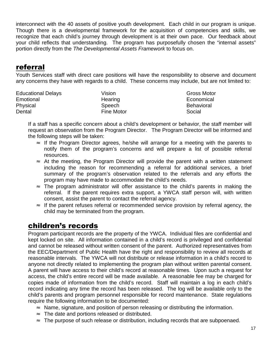interconnect with the 40 assets of positive youth development. Each child in our program is unique. Though there is a developmental framework for the acquisition of competencies and skills, we recognize that each child's journey through development is at their own pace. Our feedback about your child reflects that understanding. The program has purposefully chosen the "internal assets" portion directly from the The Developmental Assets Framework to focus on.

# referral

Youth Services staff with direct care positions will have the responsibility to observe and document any concerns they have with regards to a child. These concerns may include, but are not limited to:

| <b>Educational Delays</b> | Vision     | Gross Motor       |
|---------------------------|------------|-------------------|
| Emotional                 | Hearing    | Economical        |
| Physical                  | Speech     | <b>Behavioral</b> |
| Dental                    | Fine Motor | Social            |

If a staff has a specific concern about a child's development or behavior, the staff member will request an observation from the Program Director. The Program Director will be informed and the following steps will be taken:

- ≈ If the Program Director agrees, he/she will arrange for a meeting with the parents to notify them of the program's concerns and will prepare a list of possible referral resources.
- ≈ At the meeting, the Program Director will provide the parent with a written statement including the reason for recommending a referral for additional services, a brief summary of the program's observation related to the referrals and any efforts the program may have made to accommodate the child's needs.
- ≈ The program administrator will offer assistance to the child's parents in making the referral. If the parent requires extra support, a YWCA staff person will, with written consent, assist the parent to contact the referral agency.
- ≈ If the parent refuses referral or recommended service provision by referral agency, the child may be terminated from the program.

# children's records

Program participant records are the property of the YWCA. Individual files are confidential and kept locked on site. All information contained in a child's record is privileged and confidential and cannot be released without written consent of the parent. Authorized representatives from the EEC/Department of Public Health have the right and responsibility to review all records at reasonable intervals. The YWCA will not distribute or release information in a child's record to anyone not directly related to implementing the program plan without written parental consent. A parent will have access to their child's record at reasonable times. Upon such a request for access, the child's entire record will be made available. A reasonable fee may be charged for copies made of information from the child's record. Staff will maintain a log in each child's record indicating any time the record has been released. The log will be available only to the child's parents and program personnel responsible for record maintenance. State regulations require the following information to be documented:

- ≈ Name, signature, and position of person releasing or distributing the information.
- ≈ The date and portions released or distributed.
- ≈ The purpose of such release or distribution, including records that are subpoenaed.